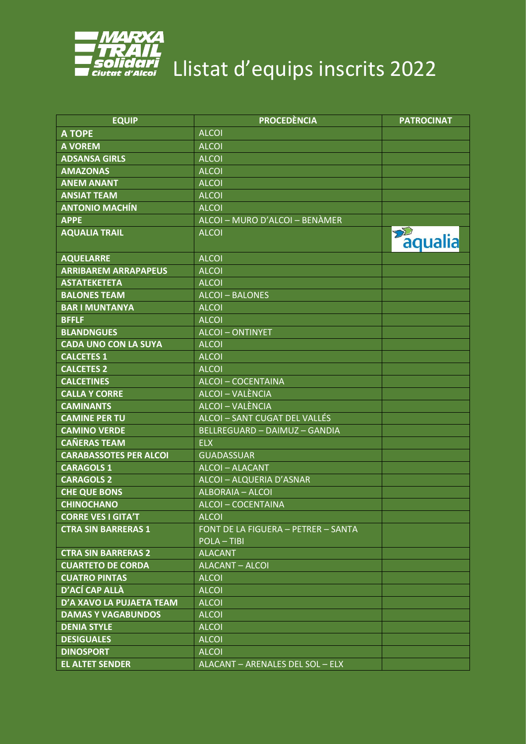

| <b>EQUIP</b>                  | <b>PROCEDÈNCIA</b>                                      | <b>PATROCINAT</b>        |
|-------------------------------|---------------------------------------------------------|--------------------------|
| <b>A TOPE</b>                 | <b>ALCOI</b>                                            |                          |
| <b>A VOREM</b>                | <b>ALCOI</b>                                            |                          |
| <b>ADSANSA GIRLS</b>          | <b>ALCOI</b>                                            |                          |
| <b>AMAZONAS</b>               | <b>ALCOI</b>                                            |                          |
| <b>ANEM ANANT</b>             | <b>ALCOI</b>                                            |                          |
| <b>ANSIAT TEAM</b>            | <b>ALCOI</b>                                            |                          |
| <b>ANTONIO MACHÍN</b>         | <b>ALCOI</b>                                            |                          |
| <b>APPE</b>                   | ALCOI - MURO D'ALCOI - BENÀMER                          |                          |
| <b>AQUALIA TRAIL</b>          | <b>ALCOI</b>                                            | $\mathcal{D}$<br>aqualia |
| <b>AQUELARRE</b>              | <b>ALCOI</b>                                            |                          |
| <b>ARRIBAREM ARRAPAPEUS</b>   | <b>ALCOI</b>                                            |                          |
| <b>ASTATEKETETA</b>           | <b>ALCOI</b>                                            |                          |
| <b>BALONES TEAM</b>           | <b>ALCOI-BALONES</b>                                    |                          |
| <b>BAR I MUNTANYA</b>         | <b>ALCOI</b>                                            |                          |
| <b>BFFLF</b>                  | <b>ALCOI</b>                                            |                          |
| <b>BLANDNGUES</b>             | <b>ALCOI-ONTINYET</b>                                   |                          |
| <b>CADA UNO CON LA SUYA</b>   | <b>ALCOI</b>                                            |                          |
| <b>CALCETES 1</b>             | <b>ALCOI</b>                                            |                          |
| <b>CALCETES 2</b>             | <b>ALCOI</b>                                            |                          |
| <b>CALCETINES</b>             | <b>ALCOI-COCENTAINA</b>                                 |                          |
| <b>CALLA Y CORRE</b>          | ALCOI - VALÈNCIA                                        |                          |
| <b>CAMINANTS</b>              | ALCOI - VALÈNCIA                                        |                          |
| <b>CAMINE PER TU</b>          | ALCOI - SANT CUGAT DEL VALLÉS                           |                          |
| <b>CAMINO VERDE</b>           | <b>BELLREGUARD - DAIMUZ - GANDIA</b>                    |                          |
| <b>CAÑERAS TEAM</b>           | <b>ELX</b>                                              |                          |
| <b>CARABASSOTES PER ALCOI</b> | <b>GUADASSUAR</b>                                       |                          |
| <b>CARAGOLS 1</b>             | <b>ALCOI-ALACANT</b>                                    |                          |
| <b>CARAGOLS 2</b>             | ALCOI - ALQUERIA D'ASNAR                                |                          |
| <b>CHE QUE BONS</b>           | <b>ALBORAIA - ALCOI</b>                                 |                          |
| <b>CHINOCHANO</b>             | <b>ALCOI-COCENTAINA</b>                                 |                          |
| <b>CORRE VES I GITA'T</b>     | <b>ALCOI</b>                                            |                          |
| <b>CTRA SIN BARRERAS 1</b>    | FONT DE LA FIGUERA - PETRER - SANTA<br><b>POLA-TIBI</b> |                          |
| <b>CTRA SIN BARRERAS 2</b>    | <b>ALACANT</b>                                          |                          |
| <b>CUARTETO DE CORDA</b>      | <b>ALACANT - ALCOI</b>                                  |                          |
| <b>CUATRO PINTAS</b>          | <b>ALCOI</b>                                            |                          |
| <b>D'ACÍ CAP ALLÀ</b>         | <b>ALCOI</b>                                            |                          |
| D'A XAVO LA PUJAETA TEAM      | <b>ALCOI</b>                                            |                          |
| <b>DAMAS Y VAGABUNDOS</b>     | <b>ALCOI</b>                                            |                          |
| <b>DENIA STYLE</b>            | <b>ALCOI</b>                                            |                          |
| <b>DESIGUALES</b>             | <b>ALCOI</b>                                            |                          |
| <b>DINOSPORT</b>              | <b>ALCOI</b>                                            |                          |
| <b>EL ALTET SENDER</b>        | ALACANT - ARENALES DEL SOL - ELX                        |                          |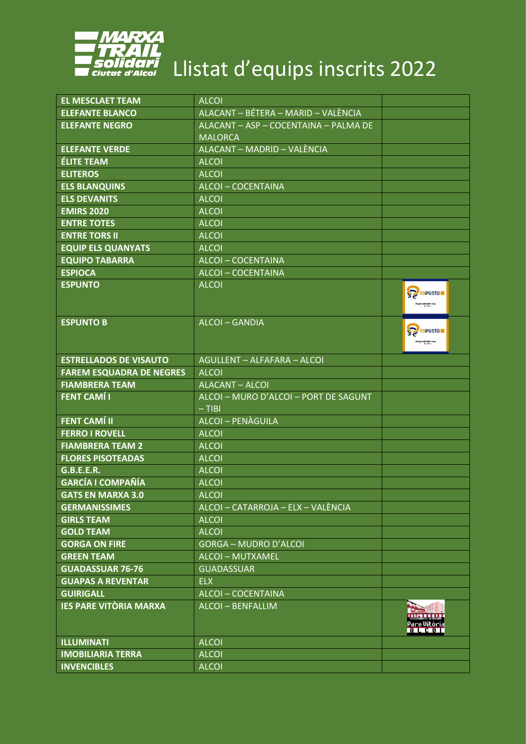

| <b>EL MESCLAET TEAM</b>         | <b>ALCOI</b>                          |                                                                |
|---------------------------------|---------------------------------------|----------------------------------------------------------------|
| <b>ELEFANTE BLANCO</b>          | ALACANT - BÉTERA - MARID - VALÈNCIA   |                                                                |
| <b>ELEFANTE NEGRO</b>           | ALACANT - ASP - COCENTAINA - PALMA DE |                                                                |
|                                 | <b>MALORCA</b>                        |                                                                |
| <b>ELEFANTE VERDE</b>           | ALACANT - MADRID - VALÈNCIA           |                                                                |
| <b>ÉLITE TEAM</b>               | <b>ALCOI</b>                          |                                                                |
| <b>ELITEROS</b>                 | <b>ALCOI</b>                          |                                                                |
| <b>ELS BLANQUINS</b>            | <b>ALCOI-COCENTAINA</b>               |                                                                |
| <b>ELS DEVANITS</b>             | <b>ALCOI</b>                          |                                                                |
| <b>EMIRS 2020</b>               | <b>ALCOI</b>                          |                                                                |
| <b>ENTRE TOTES</b>              | <b>ALCOI</b>                          |                                                                |
| <b>ENTRE TORS II</b>            | <b>ALCOI</b>                          |                                                                |
| <b>EQUIP ELS QUANYATS</b>       | <b>ALCOI</b>                          |                                                                |
| <b>EQUIPO TABARRA</b>           | <b>ALCOI-COCENTAINA</b>               |                                                                |
| <b>ESPIOCA</b>                  | <b>ALCOI-COCENTAINA</b>               |                                                                |
| <b>ESPUNTO</b>                  | <b>ALCOI</b>                          | S <sub>espunto</sub><br>blubes Mirafles.8.1.                   |
| <b>ESPUNTO B</b>                | <b>ALCOI-GANDIA</b>                   | S <sub>espunto</sub><br><b>Subra Mirafles A.L.</b><br>Column 2 |
| <b>ESTRELLADOS DE VISAUTO</b>   | AGULLENT - ALFAFARA - ALCOI           |                                                                |
| <b>FAREM ESQUADRA DE NEGRES</b> | <b>ALCOI</b>                          |                                                                |
| <b>FIAMBRERA TEAM</b>           | ALACANT - ALCOI                       |                                                                |
| <b>FENT CAMÍ I</b>              | ALCOI - MURO D'ALCOI - PORT DE SAGUNT |                                                                |
|                                 | $-$ TIBI                              |                                                                |
| <b>FENT CAMÍ II</b>             | <b>ALCOI-PENÀGUILA</b>                |                                                                |
| <b>FERRO I ROVELL</b>           | <b>ALCOI</b>                          |                                                                |
| <b>FIAMBRERA TEAM 2</b>         | <b>ALCOI</b>                          |                                                                |
| <b>FLORES PISOTEADAS</b>        | <b>ALCOI</b>                          |                                                                |
| <b>G.B.E.E.R.</b>               | <b>ALCOI</b>                          |                                                                |
| <b>GARCÍA I COMPAÑÍA</b>        | <b>ALCOI</b>                          |                                                                |
| <b>GATS EN MARXA 3.0</b>        | <b>ALCOI</b>                          |                                                                |
| <b>GERMANISSIMES</b>            | ALCOI - CATARROJA - ELX - VALÈNCIA    |                                                                |
| <b>GIRLS TEAM</b>               | <b>ALCOI</b>                          |                                                                |
| <b>GOLD TEAM</b>                | <b>ALCOI</b>                          |                                                                |
| <b>GORGA ON FIRE</b>            | <b>GORGA - MUDRO D'ALCOI</b>          |                                                                |
| <b>GREEN TEAM</b>               | <b>ALCOI - MUTXAMEL</b>               |                                                                |
| <b>GUADASSUAR 76-76</b>         | <b>GUADASSUAR</b>                     |                                                                |
| <b>GUAPAS A REVENTAR</b>        | <b>ELX</b>                            |                                                                |
| <b>GUIRIGALL</b>                | ALCOI-COCENTAINA                      |                                                                |
| <b>IES PARE VITÒRIA MARXA</b>   | <b>ALCOI - BENFALLIM</b>              | <b>EN ESCRIPTION DE L'ANNE</b><br>Pare Vitòria<br><b>ALCOT</b> |
| <b>ILLUMINATI</b>               | <b>ALCOI</b>                          |                                                                |
| <b>IMOBILIARIA TERRA</b>        | <b>ALCOI</b>                          |                                                                |
| <b>INVENCIBLES</b>              | <b>ALCOI</b>                          |                                                                |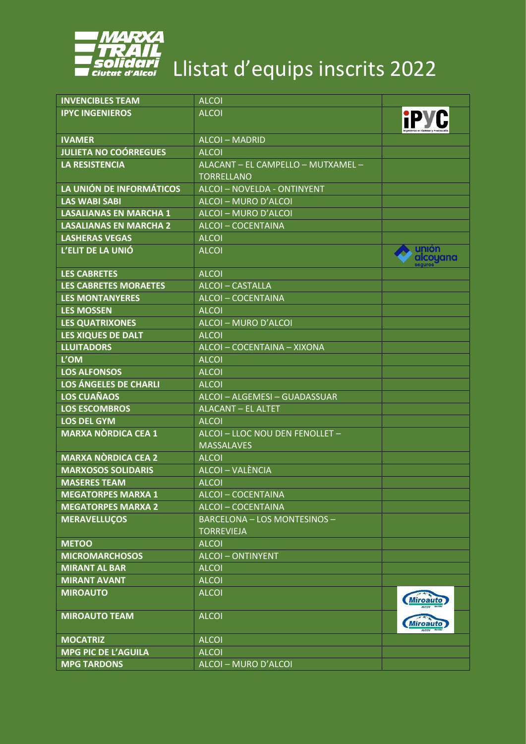

| <b>INVENCIBLES TEAM</b>       | <b>ALCOI</b>                                            |                   |
|-------------------------------|---------------------------------------------------------|-------------------|
| <b>IPYC INGENIEROS</b>        | <b>ALCOI</b>                                            | <b>IPYC</b>       |
| <b>IVAMER</b>                 | <b>ALCOI - MADRID</b>                                   |                   |
| <b>JULIETA NO COÓRREGUES</b>  | <b>ALCOI</b>                                            |                   |
| <b>LA RESISTENCIA</b>         | ALACANT - EL CAMPELLO - MUTXAMEL -<br><b>TORRELLANO</b> |                   |
| LA UNIÓN DE INFORMÁTICOS      | <b>ALCOI-NOVELDA - ONTINYENT</b>                        |                   |
| <b>LAS WABI SABI</b>          | ALCOI - MURO D'ALCOI                                    |                   |
| <b>LASALIANAS EN MARCHA 1</b> | ALCOI - MURO D'ALCOI                                    |                   |
| <b>LASALIANAS EN MARCHA 2</b> | <b>ALCOI-COCENTAINA</b>                                 |                   |
| <b>LASHERAS VEGAS</b>         | <b>ALCOI</b>                                            |                   |
| L'ELIT DE LA UNIÓ             | <b>ALCOI</b>                                            | unión<br>alcoyana |
| <b>LES CABRETES</b>           | <b>ALCOI</b>                                            |                   |
| <b>LES CABRETES MORAETES</b>  | <b>ALCOI-CASTALLA</b>                                   |                   |
| <b>LES MONTANYERES</b>        | <b>ALCOI-COCENTAINA</b>                                 |                   |
| <b>LES MOSSEN</b>             | <b>ALCOI</b>                                            |                   |
| <b>LES QUATRIXONES</b>        | ALCOI - MURO D'ALCOI                                    |                   |
| <b>LES XIQUES DE DALT</b>     | <b>ALCOI</b>                                            |                   |
| <b>LLUITADORS</b>             | ALCOI - COCENTAINA - XIXONA                             |                   |
| L'OM                          | <b>ALCOI</b>                                            |                   |
| <b>LOS ALFONSOS</b>           | <b>ALCOI</b>                                            |                   |
| LOS ÁNGELES DE CHARLI         | <b>ALCOI</b>                                            |                   |
| <b>LOS CUAÑAOS</b>            | ALCOI - ALGEMESI - GUADASSUAR                           |                   |
| <b>LOS ESCOMBROS</b>          | <b>ALACANT - EL ALTET</b>                               |                   |
| <b>LOS DEL GYM</b>            | <b>ALCOI</b>                                            |                   |
| <b>MARXA NÒRDICA CEA 1</b>    | ALCOI - LLOC NOU DEN FENOLLET -<br><b>MASSALAVES</b>    |                   |
| <b>MARXA NÒRDICA CEA 2</b>    | <b>ALCOI</b>                                            |                   |
| <b>MARXOSOS SOLIDARIS</b>     | <b>ALCOI - VALÈNCIA</b>                                 |                   |
| <b>MASERES TEAM</b>           | <b>ALCOI</b>                                            |                   |
| <b>MEGATORPES MARXA 1</b>     | <b>ALCOI-COCENTAINA</b>                                 |                   |
| <b>MEGATORPES MARXA 2</b>     | <b>ALCOI-COCENTAINA</b>                                 |                   |
| <b>MERAVELLUÇOS</b>           | BARCELONA - LOS MONTESINOS -<br><b>TORREVIEJA</b>       |                   |
| <b>METOO</b>                  | <b>ALCOI</b>                                            |                   |
| <b>MICROMARCHOSOS</b>         | <b>ALCOI-ONTINYENT</b>                                  |                   |
| <b>MIRANT AL BAR</b>          | <b>ALCOI</b>                                            |                   |
| <b>MIRANT AVANT</b>           | <b>ALCOI</b>                                            |                   |
| <b>MIROAUTO</b>               | <b>ALCOI</b>                                            | <b>Miroauto</b>   |
| <b>MIROAUTO TEAM</b>          | <b>ALCOI</b>                                            | <b>Miroauto</b>   |
| <b>MOCATRIZ</b>               | <b>ALCOI</b>                                            |                   |
| <b>MPG PIC DE L'AGUILA</b>    | <b>ALCOI</b>                                            |                   |
| <b>MPG TARDONS</b>            | ALCOI - MURO D'ALCOI                                    |                   |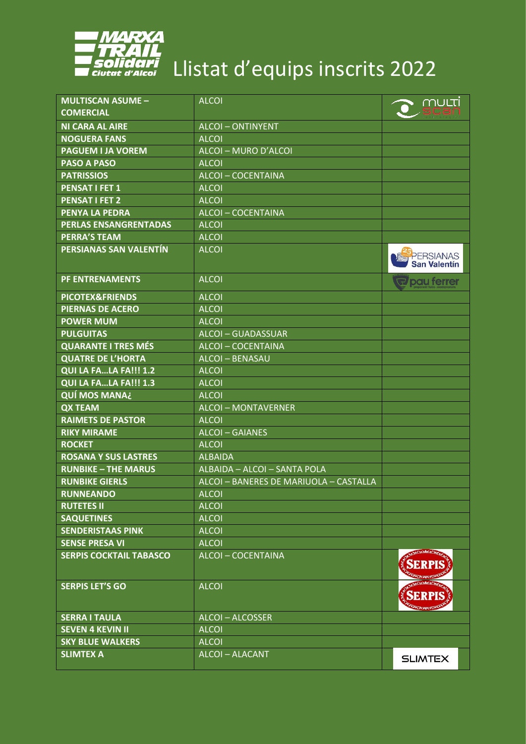

| <b>MULTISCAN ASUME -</b>       | <b>ALCOI</b>                           | <u>multi</u>                     |
|--------------------------------|----------------------------------------|----------------------------------|
| <b>COMERCIAL</b>               |                                        |                                  |
| <b>NI CARA AL AIRE</b>         | <b>ALCOI-ONTINYENT</b>                 |                                  |
| <b>NOGUERA FANS</b>            | <b>ALCOI</b>                           |                                  |
| <b>PAGUEM I JA VOREM</b>       | ALCOI - MURO D'ALCOI                   |                                  |
| <b>PASO A PASO</b>             | <b>ALCOI</b>                           |                                  |
| <b>PATRISSIOS</b>              | <b>ALCOI-COCENTAINA</b>                |                                  |
| <b>PENSAT I FET 1</b>          | <b>ALCOI</b>                           |                                  |
| <b>PENSAT I FET 2</b>          | <b>ALCOI</b>                           |                                  |
| <b>PENYA LA PEDRA</b>          | <b>ALCOI-COCENTAINA</b>                |                                  |
| <b>PERLAS ENSANGRENTADAS</b>   | <b>ALCOI</b>                           |                                  |
| <b>PERRA'S TEAM</b>            | <b>ALCOI</b>                           |                                  |
| PERSIANAS SAN VALENTÍN         | <b>ALCOI</b>                           | PERSIANAS<br><b>San Valentín</b> |
| <b>PF ENTRENAMENTS</b>         | <b>ALCOI</b>                           | <b>R</b> pau ferrer              |
| <b>PICOTEX&amp;FRIENDS</b>     | <b>ALCOI</b>                           |                                  |
| <b>PIERNAS DE ACERO</b>        | <b>ALCOI</b>                           |                                  |
| <b>POWER MUM</b>               | <b>ALCOI</b>                           |                                  |
| <b>PULGUITAS</b>               | <b>ALCOI-GUADASSUAR</b>                |                                  |
| <b>QUARANTE I TRES MÉS</b>     | <b>ALCOI-COCENTAINA</b>                |                                  |
| <b>QUATRE DE L'HORTA</b>       | <b>ALCOI-BENASAU</b>                   |                                  |
| QUI LA FALA FA!!! 1.2          | <b>ALCOI</b>                           |                                  |
| QUI LA FALA FA!!! 1.3          | <b>ALCOI</b>                           |                                  |
| <b>QUÍ MOS MANA¿</b>           | <b>ALCOI</b>                           |                                  |
| <b>QX TEAM</b>                 | <b>ALCOI-MONTAVERNER</b>               |                                  |
| <b>RAIMETS DE PASTOR</b>       | <b>ALCOI</b>                           |                                  |
| <b>RIKY MIRAME</b>             | <b>ALCOI-GAIANES</b>                   |                                  |
| <b>ROCKET</b>                  | <b>ALCOI</b>                           |                                  |
| <b>ROSANA Y SUS LASTRES</b>    | <b>ALBAIDA</b>                         |                                  |
| <b>RUNBIKE - THE MARUS</b>     | ALBAIDA - ALCOI - SANTA POLA           |                                  |
| <b>RUNBIKE GIERLS</b>          | ALCOI - BANERES DE MARIUOLA - CASTALLA |                                  |
| <b>RUNNEANDO</b>               | <b>ALCOI</b>                           |                                  |
| <b>RUTETES II</b>              | <b>ALCOI</b>                           |                                  |
| <b>SAQUETINES</b>              | <b>ALCOI</b>                           |                                  |
| <b>SENDERISTAAS PINK</b>       | <b>ALCOI</b>                           |                                  |
| <b>SENSE PRESA VI</b>          | <b>ALCOI</b>                           |                                  |
| <b>SERPIS COCKTAIL TABASCO</b> | ALCOI-COCENTAINA                       |                                  |
| <b>SERPIS LET'S GO</b>         | <b>ALCOI</b>                           |                                  |
| <b>SERRA I TAULA</b>           | <b>ALCOI-ALCOSSER</b>                  |                                  |
| <b>SEVEN 4 KEVIN II</b>        | <b>ALCOI</b>                           |                                  |
| <b>SKY BLUE WALKERS</b>        | <b>ALCOI</b>                           |                                  |
| <b>SLIMTEX A</b>               | <b>ALCOI-ALACANT</b>                   | <b>SLIMTEX</b>                   |